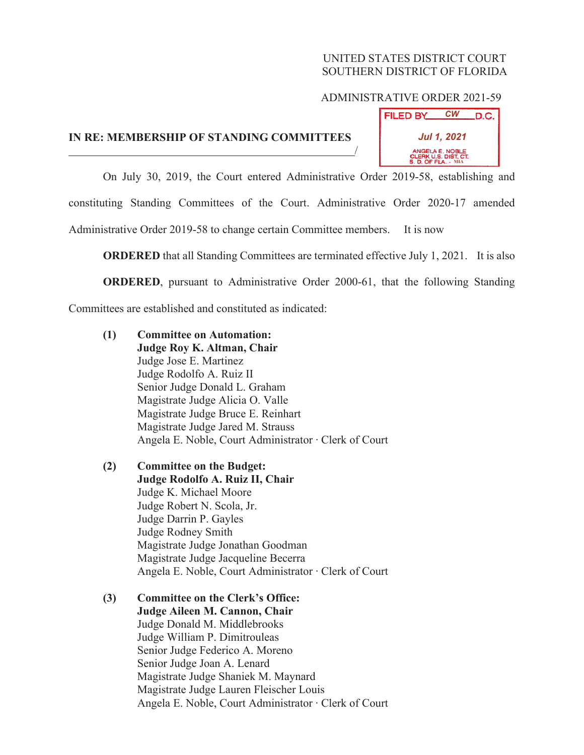## UNITED STATES DISTRICT COURT SOUTHERN DISTRICT OF FLORIDA

## ADMINISTRATIVE ORDER 2021-59

## **IN RE: MEMBERSHIP OF STANDING COMMITTEES**



On July 30, 2019, the Court entered Administrative Order 2019-58, establishing and

/

constituting Standing Committees of the Court. Administrative Order 2020-17 amended

Administrative Order 2019-58 to change certain Committee members. It is now

**ORDERED** that all Standing Committees are terminated effective July 1, 2021. It is also

**ORDERED**, pursuant to Administrative Order 2000-61, that the following Standing

Committees are established and constituted as indicated:

- **(1) Committee on Automation: Judge Roy K. Altman, Chair** Judge Jose E. Martinez Judge Rodolfo A. Ruiz II Senior Judge Donald L. Graham Magistrate Judge Alicia O. Valle Magistrate Judge Bruce E. Reinhart Magistrate Judge Jared M. Strauss Angela E. Noble, Court Administrator · Clerk of Court
- **(2) Committee on the Budget: Judge Rodolfo A. Ruiz II, Chair** Judge K. Michael Moore Judge Robert N. Scola, Jr. Judge Darrin P. Gayles Judge Rodney Smith Magistrate Judge Jonathan Goodman Magistrate Judge Jacqueline Becerra Angela E. Noble, Court Administrator · Clerk of Court
- **(3) Committee on the Clerk's Office: Judge Aileen M. Cannon, Chair** Judge Donald M. Middlebrooks Judge William P. Dimitrouleas Senior Judge Federico A. Moreno Senior Judge Joan A. Lenard Magistrate Judge Shaniek M. Maynard Magistrate Judge Lauren Fleischer Louis Angela E. Noble, Court Administrator · Clerk of Court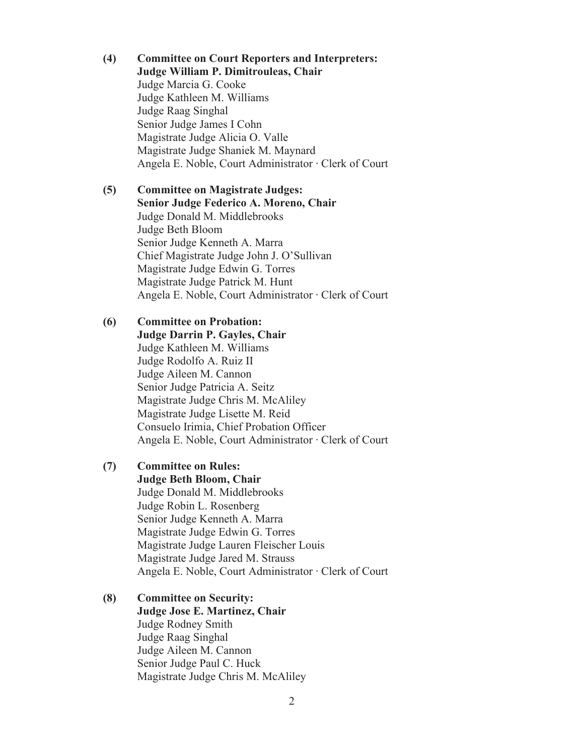**(4) Committee on Court Reporters and Interpreters: Judge William P. Dimitrouleas, Chair** Judge Marcia G. Cooke Judge Kathleen M. Williams Judge Raag Singhal Senior Judge James I Cohn Magistrate Judge Alicia O. Valle Magistrate Judge Shaniek M. Maynard Angela E. Noble, Court Administrator · Clerk of Court

**(5) Committee on Magistrate Judges: Senior Judge Federico A. Moreno, Chair** Judge Donald M. Middlebrooks Judge Beth Bloom Senior Judge Kenneth A. Marra Chief Magistrate Judge John J. O'Sullivan Magistrate Judge Edwin G. Torres Magistrate Judge Patrick M. Hunt Angela E. Noble, Court Administrator  $\cdot$  Clerk of Court

**(6) Committee on Probation: Judge Darrin P. Gayles, Chair** Judge Kathleen M. Williams Judge Rodolfo A. Ruiz II Judge Aileen M. Cannon Senior Judge Patricia A. Seitz Magistrate Judge Chris M. McAliley Magistrate Judge Lisette M. Reid Consuelo Irimia, Chief Probation Officer Angela E. Noble, Court Administrator · Clerk of Court

**(7) Committee on Rules: Judge Beth Bloom, Chair** Judge Donald M. Middlebrooks Judge Robin L. Rosenberg Senior Judge Kenneth A. Marra Magistrate Judge Edwin G. Torres Magistrate Judge Lauren Fleischer Louis Magistrate Judge Jared M. Strauss Angela E. Noble, Court Administrator · Clerk of Court

**(8) Committee on Security: Judge Jose E. Martinez, Chair** Judge Rodney Smith Judge Raag Singhal Judge Aileen M. Cannon Senior Judge Paul C. Huck Magistrate Judge Chris M. McAliley